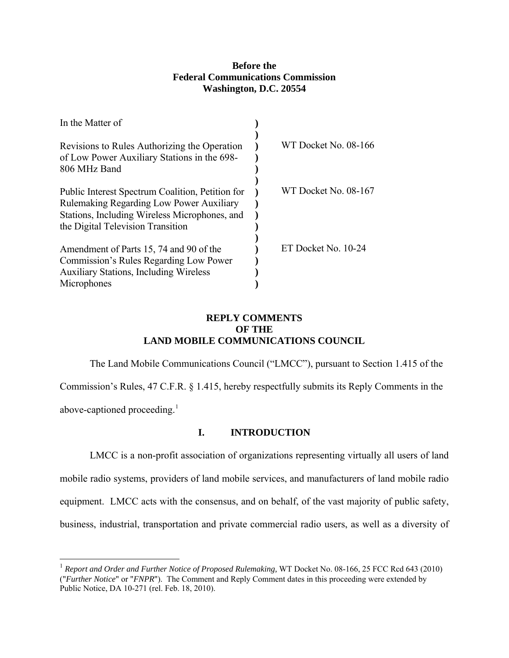## **Before the Federal Communications Commission Washington, D.C. 20554**

| In the Matter of                                                                                                                                                                          |                      |
|-------------------------------------------------------------------------------------------------------------------------------------------------------------------------------------------|----------------------|
| Revisions to Rules Authorizing the Operation<br>of Low Power Auxiliary Stations in the 698-<br>806 MHz Band                                                                               | WT Docket No. 08-166 |
| Public Interest Spectrum Coalition, Petition for<br><b>Rulemaking Regarding Low Power Auxiliary</b><br>Stations, Including Wireless Microphones, and<br>the Digital Television Transition | WT Docket No. 08-167 |
| Amendment of Parts 15, 74 and 90 of the<br>Commission's Rules Regarding Low Power<br><b>Auxiliary Stations, Including Wireless</b><br>Microphones                                         | ET Docket No. 10-24  |

## **REPLY COMMENTS OF THE LAND MOBILE COMMUNICATIONS COUNCIL**

The Land Mobile Communications Council ("LMCC"), pursuant to Section 1.415 of the Commission's Rules, 47 C.F.R. § 1.415, hereby respectfully submits its Reply Comments in the

above-captioned proceeding.<sup>[1](#page-0-0)</sup>

 $\overline{a}$ 

## **I. INTRODUCTION**

 LMCC is a non-profit association of organizations representing virtually all users of land mobile radio systems, providers of land mobile services, and manufacturers of land mobile radio equipment. LMCC acts with the consensus, and on behalf, of the vast majority of public safety, business, industrial, transportation and private commercial radio users, as well as a diversity of

<span id="page-0-0"></span><sup>&</sup>lt;sup>1</sup> Report and Order and Further Notice of Proposed Rulemaking, WT Docket No. 08-166, 25 FCC Rcd 643 (2010) ("*Further Notice*" or "*FNPR*"). The Comment and Reply Comment dates in this proceeding were extended by Public Notice, DA 10-271 (rel. Feb. 18, 2010).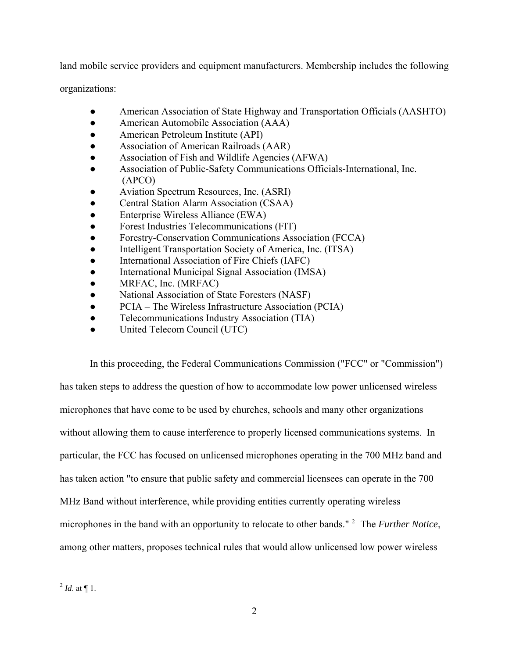land mobile service providers and equipment manufacturers. Membership includes the following

organizations:

- American Association of State Highway and Transportation Officials (AASHTO)
- American Automobile Association (AAA)
- American Petroleum Institute (API)
- Association of American Railroads (AAR)
- Association of Fish and Wildlife Agencies (AFWA)
- Association of Public-Safety Communications Officials-International, Inc. (APCO)
- Aviation Spectrum Resources, Inc. (ASRI)
- Central Station Alarm Association (CSAA)
- Enterprise Wireless Alliance (EWA)
- Forest Industries Telecommunications (FIT)
- Forestry-Conservation Communications Association (FCCA)
- Intelligent Transportation Society of America, Inc. (ITSA)
- International Association of Fire Chiefs (IAFC)
- International Municipal Signal Association (IMSA)
- MRFAC, Inc. (MRFAC)
- National Association of State Foresters (NASF)
- PCIA The Wireless Infrastructure Association (PCIA)
- Telecommunications Industry Association (TIA)
- United Telecom Council (UTC)

In this proceeding, the Federal Communications Commission ("FCC" or "Commission") has taken steps to address the question of how to accommodate low power unlicensed wireless microphones that have come to be used by churches, schools and many other organizations without allowing them to cause interference to properly licensed communications systems. In particular, the FCC has focused on unlicensed microphones operating in the 700 MHz band and has taken action "to ensure that public safety and commercial licensees can operate in the 700 MHz Band without interference, while providing entities currently operating wireless microphones in the band with an opportunity to relocate to other bands."<sup>[2](#page-1-0)</sup> The *Further Notice*, among other matters, proposes technical rules that would allow unlicensed low power wireless

 $\overline{a}$ 

<span id="page-1-0"></span> $^{2}$  *Id.* at ¶ 1.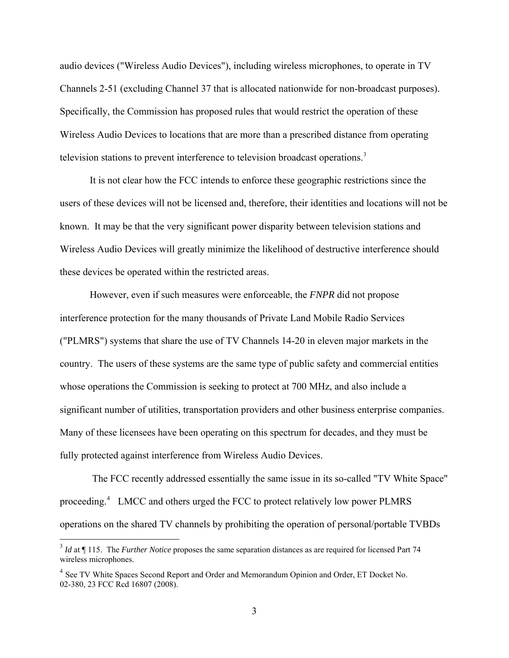audio devices ("Wireless Audio Devices"), including wireless microphones, to operate in TV Channels 2-51 (excluding Channel 37 that is allocated nationwide for non-broadcast purposes). Specifically, the Commission has proposed rules that would restrict the operation of these Wireless Audio Devices to locations that are more than a prescribed distance from operating television stations to prevent interference to television broadcast operations.<sup>[3](#page-2-0)</sup>

It is not clear how the FCC intends to enforce these geographic restrictions since the users of these devices will not be licensed and, therefore, their identities and locations will not be known. It may be that the very significant power disparity between television stations and Wireless Audio Devices will greatly minimize the likelihood of destructive interference should these devices be operated within the restricted areas.

However, even if such measures were enforceable, the *FNPR* did not propose interference protection for the many thousands of Private Land Mobile Radio Services ("PLMRS") systems that share the use of TV Channels 14-20 in eleven major markets in the country. The users of these systems are the same type of public safety and commercial entities whose operations the Commission is seeking to protect at 700 MHz, and also include a significant number of utilities, transportation providers and other business enterprise companies. Many of these licensees have been operating on this spectrum for decades, and they must be fully protected against interference from Wireless Audio Devices.

 The FCC recently addressed essentially the same issue in its so-called "TV White Space" proceeding.<sup>[4](#page-2-1)</sup> LMCC and others urged the FCC to protect relatively low power PLMRS operations on the shared TV channels by prohibiting the operation of personal/portable TVBDs

 $\overline{a}$ 

<span id="page-2-0"></span><sup>&</sup>lt;sup>3</sup> *Id* at ¶ 115. The *Further Notice* proposes the same separation distances as are required for licensed Part 74 wireless microphones.

<span id="page-2-1"></span><sup>&</sup>lt;sup>4</sup> See TV White Spaces Second Report and Order and Memorandum Opinion and Order, ET Docket No. 02-380, 23 FCC Rcd 16807 (2008).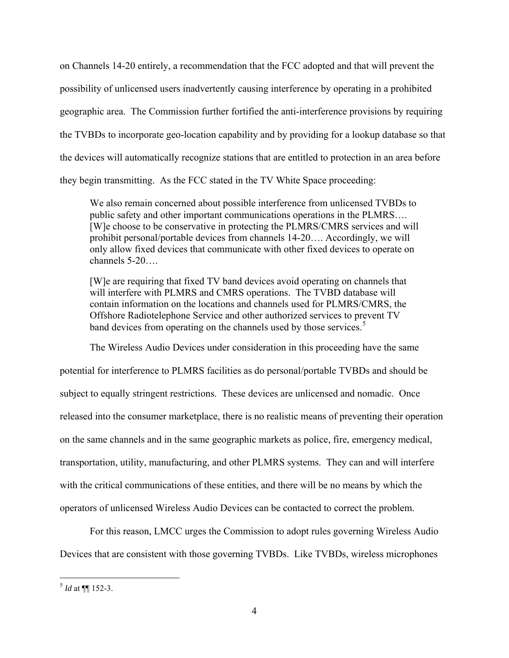on Channels 14-20 entirely, a recommendation that the FCC adopted and that will prevent the possibility of unlicensed users inadvertently causing interference by operating in a prohibited geographic area. The Commission further fortified the anti-interference provisions by requiring the TVBDs to incorporate geo-location capability and by providing for a lookup database so that the devices will automatically recognize stations that are entitled to protection in an area before they begin transmitting. As the FCC stated in the TV White Space proceeding:

We also remain concerned about possible interference from unlicensed TVBDs to public safety and other important communications operations in the PLMRS…. [W]e choose to be conservative in protecting the PLMRS/CMRS services and will prohibit personal/portable devices from channels 14-20…. Accordingly, we will only allow fixed devices that communicate with other fixed devices to operate on channels 5-20….

[W]e are requiring that fixed TV band devices avoid operating on channels that will interfere with PLMRS and CMRS operations. The TVBD database will contain information on the locations and channels used for PLMRS/CMRS, the Offshore Radiotelephone Service and other authorized services to prevent TV band devices from operating on the channels used by those services.<sup>[5](#page-3-0)</sup>

The Wireless Audio Devices under consideration in this proceeding have the same potential for interference to PLMRS facilities as do personal/portable TVBDs and should be subject to equally stringent restrictions. These devices are unlicensed and nomadic. Once released into the consumer marketplace, there is no realistic means of preventing their operation on the same channels and in the same geographic markets as police, fire, emergency medical, transportation, utility, manufacturing, and other PLMRS systems. They can and will interfere with the critical communications of these entities, and there will be no means by which the operators of unlicensed Wireless Audio Devices can be contacted to correct the problem.

For this reason, LMCC urges the Commission to adopt rules governing Wireless Audio Devices that are consistent with those governing TVBDs. Like TVBDs, wireless microphones

 $\overline{a}$ 

<span id="page-3-0"></span> $<sup>5</sup>$  *Id* at **[152-3.**]</sup>